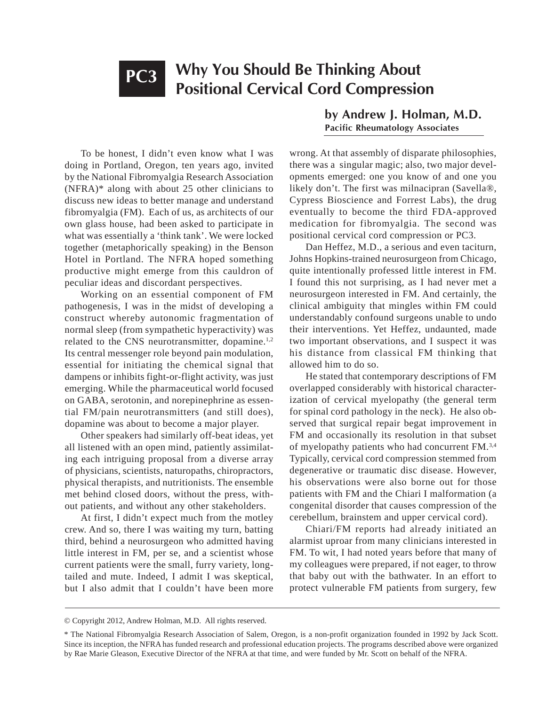# **Why You Should Be Thinking About Positional Cervical Cord Compression PC3**

To be honest, I didn't even know what I was doing in Portland, Oregon, ten years ago, invited by the National Fibromyalgia Research Association (NFRA)\* along with about 25 other clinicians to discuss new ideas to better manage and understand fibromyalgia (FM). Each of us, as architects of our own glass house, had been asked to participate in what was essentially a 'think tank'. We were locked together (metaphorically speaking) in the Benson Hotel in Portland. The NFRA hoped something productive might emerge from this cauldron of peculiar ideas and discordant perspectives.

Working on an essential component of FM pathogenesis, I was in the midst of developing a construct whereby autonomic fragmentation of normal sleep (from sympathetic hyperactivity) was related to the CNS neurotransmitter, dopamine.<sup>1,2</sup> Its central messenger role beyond pain modulation, essential for initiating the chemical signal that dampens or inhibits fight-or-flight activity, was just emerging. While the pharmaceutical world focused on GABA, serotonin, and norepinephrine as essential FM/pain neurotransmitters (and still does), dopamine was about to become a major player.

Other speakers had similarly off-beat ideas, yet all listened with an open mind, patiently assimilating each intriguing proposal from a diverse array of physicians, scientists, naturopaths, chiropractors, physical therapists, and nutritionists. The ensemble met behind closed doors, without the press, without patients, and without any other stakeholders.

At first, I didn't expect much from the motley crew. And so, there I was waiting my turn, batting third, behind a neurosurgeon who admitted having little interest in FM, per se, and a scientist whose current patients were the small, furry variety, longtailed and mute. Indeed, I admit I was skeptical, but I also admit that I couldn't have been more

**by Andrew J. Holman, M.D. Pacific Rheumatology Associates**

wrong. At that assembly of disparate philosophies, there was a singular magic; also, two major developments emerged: one you know of and one you likely don't. The first was milnacipran (Savella®, Cypress Bioscience and Forrest Labs), the drug eventually to become the third FDA-approved medication for fibromyalgia. The second was positional cervical cord compression or PC3.

Dan Heffez, M.D., a serious and even taciturn, Johns Hopkins-trained neurosurgeon from Chicago, quite intentionally professed little interest in FM. I found this not surprising, as I had never met a neurosurgeon interested in FM. And certainly, the clinical ambiguity that mingles within FM could understandably confound surgeons unable to undo their interventions. Yet Heffez, undaunted, made two important observations, and I suspect it was his distance from classical FM thinking that allowed him to do so.

He stated that contemporary descriptions of FM overlapped considerably with historical characterization of cervical myelopathy (the general term for spinal cord pathology in the neck). He also observed that surgical repair begat improvement in FM and occasionally its resolution in that subset of myelopathy patients who had concurrent FM.3,4 Typically, cervical cord compression stemmed from degenerative or traumatic disc disease. However, his observations were also borne out for those patients with FM and the Chiari I malformation (a congenital disorder that causes compression of the cerebellum, brainstem and upper cervical cord).

Chiari/FM reports had already initiated an alarmist uproar from many clinicians interested in FM. To wit, I had noted years before that many of my colleagues were prepared, if not eager, to throw that baby out with the bathwater. In an effort to protect vulnerable FM patients from surgery, few

<sup>©</sup> Copyright 2012, Andrew Holman, M.D. All rights reserved.

<sup>\*</sup> The National Fibromyalgia Research Association of Salem, Oregon, is a non-profit organization founded in 1992 by Jack Scott. Since its inception, the NFRA has funded research and professional education projects. The programs described above were organized by Rae Marie Gleason, Executive Director of the NFRA at that time, and were funded by Mr. Scott on behalf of the NFRA.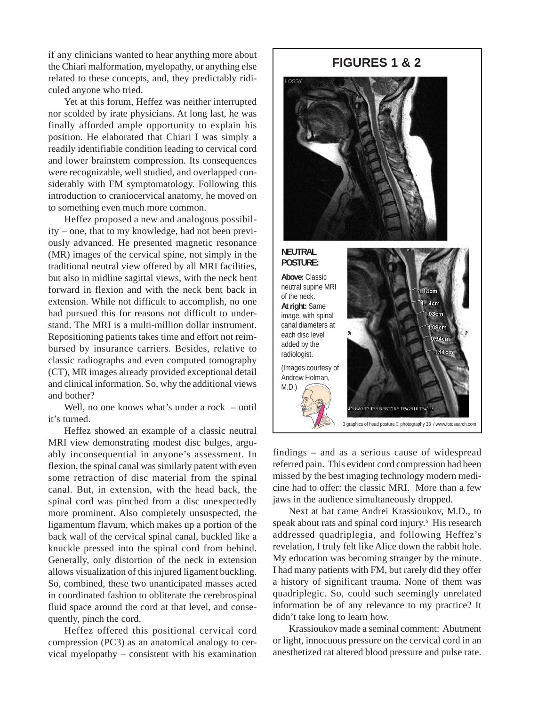if any clinicians wanted to hear anything more about the Chiari malformation, myelopathy, or anything else related to these concepts, and, they predictably ridiculed anyone who tried.

Yet at this forum, Heffez was neither interrupted nor scolded by irate physicians. At long last, he was finally afforded ample opportunity to explain his position. He elaborated that Chiari I was simply a readily identifiable condition leading to cervical cord and lower brainstem compression. Its consequences were recognizable, well studied, and overlapped considerably with FM symptomatology. Following this introduction to craniocervical anatomy, he moved on to something even much more common.

Heffez proposed a new and analogous possibility – one, that to my knowledge, had not been previously advanced. He presented magnetic resonance (MR) images of the cervical spine, not simply in the traditional neutral view offered by all MRI facilities, but also in midline sagittal views, with the neck bent forward in flexion and with the neck bent back in extension. While not difficult to accomplish, no one had pursued this for reasons not difficult to understand. The MRI is a multi-million dollar instrument. Repositioning patients takes time and effort not reimbursed by insurance carriers. Besides, relative to classic radiographs and even computed tomography (CT), MR images already provided exceptional detail and clinical information. So, why the additional views and bother?

Well, no one knows what's under a rock – until it's turned.

Heffez showed an example of a classic neutral MRI view demonstrating modest disc bulges, arguably inconsequential in anyone's assessment. In flexion, the spinal canal was similarly patent with even some retraction of disc material from the spinal canal. But, in extension, with the head back, the spinal cord was pinched from a disc unexpectedly more prominent. Also completely unsuspected, the ligamentum flavum, which makes up a portion of the back wall of the cervical spinal canal, buckled like a knuckle pressed into the spinal cord from behind. Generally, only distortion of the neck in extension allows visualization of this injured ligament buckling. So, combined, these two unanticipated masses acted in coordinated fashion to obliterate the cerebrospinal fluid space around the cord at that level, and consequently, pinch the cord.

Heffez offered this positional cervical cord compression (PC3) as an anatomical analogy to cervical myelopathy – consistent with his examination

# **FIGURES 1 & 2**



#### **NEUTRAL POSTURE:**

**Above:** Classic neutral supine MRI of the neck. **At right:** Same image, with spinal canal diameters at each disc level added by the radiologist. (Images courtesy of Andrew Holman, M.D.)



findings – and as a serious cause of widespread referred pain. This evident cord compression had been missed by the best imaging technology modern medicine had to offer: the classic MRI. More than a few jaws in the audience simultaneously dropped.

Next at bat came Andrei Krassioukov, M.D., to speak about rats and spinal cord injury.<sup>5</sup> His research addressed quadriplegia, and following Heffez's revelation, I truly felt like Alice down the rabbit hole. My education was becoming stranger by the minute. I had many patients with FM, but rarely did they offer a history of significant trauma. None of them was quadriplegic. So, could such seemingly unrelated information be of any relevance to my practice? It didn't take long to learn how.

Krassioukov made a seminal comment: Abutment or light, innocuous pressure on the cervical cord in an anesthetized rat altered blood pressure and pulse rate.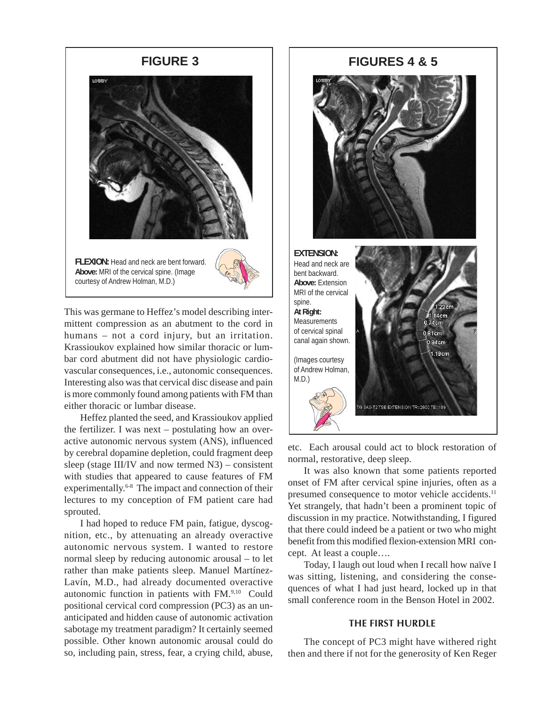

This was germane to Heffez's model describing intermittent compression as an abutment to the cord in humans – not a cord injury, but an irritation. Krassioukov explained how similar thoracic or lumbar cord abutment did not have physiologic cardiovascular consequences, i.e., autonomic consequences. Interesting also was that cervical disc disease and pain is more commonly found among patients with FM than either thoracic or lumbar disease.

Heffez planted the seed, and Krassioukov applied the fertilizer. I was next – postulating how an overactive autonomic nervous system (ANS), influenced by cerebral dopamine depletion, could fragment deep sleep (stage III/IV and now termed N3) – consistent with studies that appeared to cause features of FM experimentally.<sup>6-8</sup> The impact and connection of their lectures to my conception of FM patient care had sprouted.

I had hoped to reduce FM pain, fatigue, dyscognition, etc., by attenuating an already overactive autonomic nervous system. I wanted to restore normal sleep by reducing autonomic arousal – to let rather than make patients sleep. Manuel Martínez-Lavín, M.D., had already documented overactive autonomic function in patients with FM.9,10 Could positional cervical cord compression (PC3) as an unanticipated and hidden cause of autonomic activation sabotage my treatment paradigm? It certainly seemed possible. Other known autonomic arousal could do so, including pain, stress, fear, a crying child, abuse,

# **FIGURE 3 FIGURES 4 & 5**



etc. Each arousal could act to block restoration of normal, restorative, deep sleep.

It was also known that some patients reported onset of FM after cervical spine injuries, often as a presumed consequence to motor vehicle accidents.<sup>11</sup> Yet strangely, that hadn't been a prominent topic of discussion in my practice. Notwithstanding, I figured that there could indeed be a patient or two who might benefit from this modified flexion-extension MRI concept. At least a couple….

Today, I laugh out loud when I recall how naïve I was sitting, listening, and considering the consequences of what I had just heard, locked up in that small conference room in the Benson Hotel in 2002.

## **THE FIRST HURDLE**

The concept of PC3 might have withered right then and there if not for the generosity of Ken Reger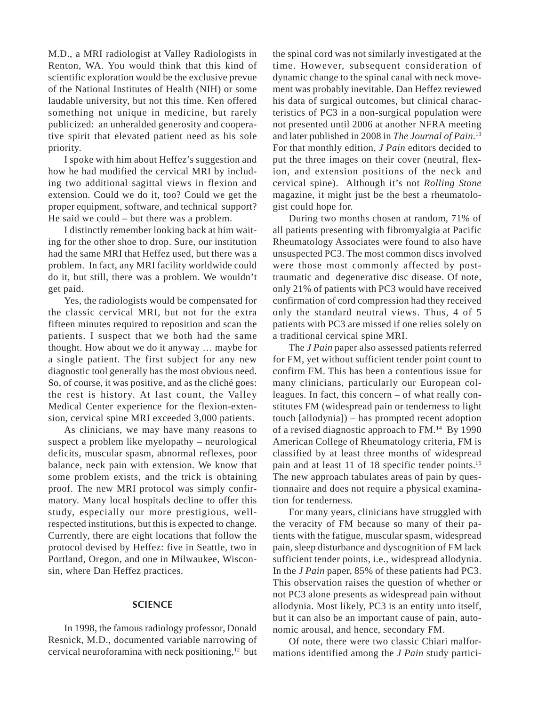M.D., a MRI radiologist at Valley Radiologists in Renton, WA. You would think that this kind of scientific exploration would be the exclusive prevue of the National Institutes of Health (NIH) or some laudable university, but not this time. Ken offered something not unique in medicine, but rarely publicized: an unheralded generosity and cooperative spirit that elevated patient need as his sole priority.

I spoke with him about Heffez's suggestion and how he had modified the cervical MRI by including two additional sagittal views in flexion and extension. Could we do it, too? Could we get the proper equipment, software, and technical support? He said we could – but there was a problem.

I distinctly remember looking back at him waiting for the other shoe to drop. Sure, our institution had the same MRI that Heffez used, but there was a problem. In fact, any MRI facility worldwide could do it, but still, there was a problem. We wouldn't get paid.

Yes, the radiologists would be compensated for the classic cervical MRI, but not for the extra fifteen minutes required to reposition and scan the patients. I suspect that we both had the same thought. How about we do it anyway … maybe for a single patient. The first subject for any new diagnostic tool generally has the most obvious need. So, of course, it was positive, and as the cliché goes: the rest is history. At last count, the Valley Medical Center experience for the flexion-extension, cervical spine MRI exceeded 3,000 patients.

As clinicians, we may have many reasons to suspect a problem like myelopathy – neurological deficits, muscular spasm, abnormal reflexes, poor balance, neck pain with extension. We know that some problem exists, and the trick is obtaining proof. The new MRI protocol was simply confirmatory. Many local hospitals decline to offer this study, especially our more prestigious, wellrespected institutions, but this is expected to change. Currently, there are eight locations that follow the protocol devised by Heffez: five in Seattle, two in Portland, Oregon, and one in Milwaukee, Wisconsin, where Dan Heffez practices.

#### **SCIENCE**

In 1998, the famous radiology professor, Donald Resnick, M.D., documented variable narrowing of cervical neuroforamina with neck positioning,12 but

the spinal cord was not similarly investigated at the time. However, subsequent consideration of dynamic change to the spinal canal with neck movement was probably inevitable. Dan Heffez reviewed his data of surgical outcomes, but clinical characteristics of PC3 in a non-surgical population were not presented until 2006 at another NFRA meeting and later published in 2008 in *The Journal of Pain*. 13 For that monthly edition, *J Pain* editors decided to put the three images on their cover (neutral, flexion, and extension positions of the neck and cervical spine). Although it's not *Rolling Stone* magazine, it might just be the best a rheumatologist could hope for.

During two months chosen at random, 71% of all patients presenting with fibromyalgia at Pacific Rheumatology Associates were found to also have unsuspected PC3. The most common discs involved were those most commonly affected by posttraumatic and degenerative disc disease. Of note, only 21% of patients with PC3 would have received confirmation of cord compression had they received only the standard neutral views. Thus, 4 of 5 patients with PC3 are missed if one relies solely on a traditional cervical spine MRI.

The *J Pain* paper also assessed patients referred for FM, yet without sufficient tender point count to confirm FM. This has been a contentious issue for many clinicians, particularly our European colleagues. In fact, this concern – of what really constitutes FM (widespread pain or tenderness to light touch [allodynia]) – has prompted recent adoption of a revised diagnostic approach to FM.14 By 1990 American College of Rheumatology criteria, FM is classified by at least three months of widespread pain and at least 11 of 18 specific tender points.<sup>15</sup> The new approach tabulates areas of pain by questionnaire and does not require a physical examination for tenderness.

For many years, clinicians have struggled with the veracity of FM because so many of their patients with the fatigue, muscular spasm, widespread pain, sleep disturbance and dyscognition of FM lack sufficient tender points, i.e., widespread allodynia. In the *J Pain* paper, 85% of these patients had PC3. This observation raises the question of whether or not PC3 alone presents as widespread pain without allodynia. Most likely, PC3 is an entity unto itself, but it can also be an important cause of pain, autonomic arousal, and hence, secondary FM.

Of note, there were two classic Chiari malformations identified among the *J Pain* study partici-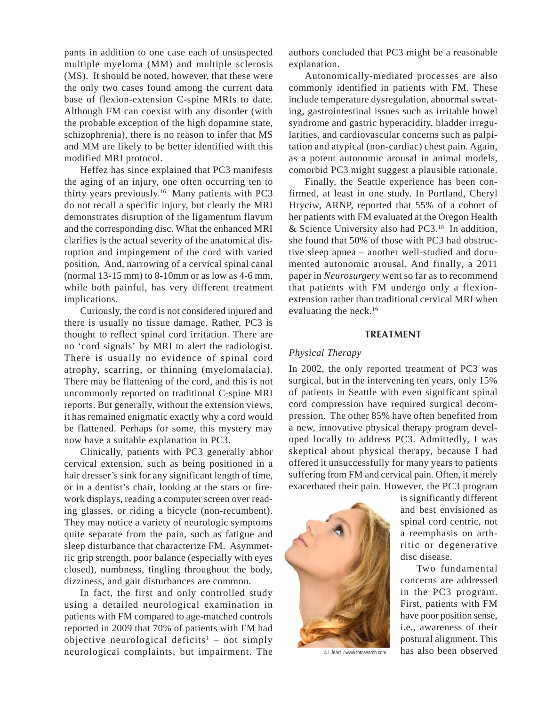pants in addition to one case each of unsuspected multiple myeloma (MM) and multiple sclerosis (MS). It should be noted, however, that these were the only two cases found among the current data base of flexion-extension C-spine MRIs to date. Although FM can coexist with any disorder (with the probable exception of the high dopamine state, schizophrenia), there is no reason to infer that MS and MM are likely to be better identified with this modified MRI protocol.

Heffez has since explained that PC3 manifests the aging of an injury, one often occurring ten to thirty years previously.16 Many patients with PC3 do not recall a specific injury, but clearly the MRI demonstrates disruption of the ligamentum flavum and the corresponding disc. What the enhanced MRI clarifies is the actual severity of the anatomical disruption and impingement of the cord with varied position. And, narrowing of a cervical spinal canal (normal  $13-15$  mm) to  $8-10$ mm or as low as  $4-6$  mm, while both painful, has very different treatment implications.

Curiously, the cord is not considered injured and there is usually no tissue damage. Rather, PC3 is thought to reflect spinal cord irritation. There are no 'cord signals' by MRI to alert the radiologist. There is usually no evidence of spinal cord atrophy, scarring, or thinning (myelomalacia). There may be flattening of the cord, and this is not uncommonly reported on traditional C-spine MRI reports. But generally, without the extension views, it has remained enigmatic exactly why a cord would be flattened. Perhaps for some, this mystery may now have a suitable explanation in PC3.

Clinically, patients with PC3 generally abhor cervical extension, such as being positioned in a hair dresser's sink for any significant length of time, or in a dentist's chair, looking at the stars or firework displays, reading a computer screen over reading glasses, or riding a bicycle (non-recumbent). They may notice a variety of neurologic symptoms quite separate from the pain, such as fatigue and sleep disturbance that characterize FM. Asymmetric grip strength, poor balance (especially with eyes closed), numbness, tingling throughout the body, dizziness, and gait disturbances are common.

In fact, the first and only controlled study using a detailed neurological examination in patients with FM compared to age-matched controls reported in 2009 that 70% of patients with FM had objective neurological deficits<sup>1</sup> – not simply neurological complaints, but impairment. The

authors concluded that PC3 might be a reasonable explanation.

Autonomically-mediated processes are also commonly identified in patients with FM. These include temperature dysregulation, abnormal sweating, gastrointestinal issues such as irritable bowel syndrome and gastric hyperacidity, bladder irregularities, and cardiovascular concerns such as palpitation and atypical (non-cardiac) chest pain. Again, as a potent autonomic arousal in animal models, comorbid PC3 might suggest a plausible rationale.

Finally, the Seattle experience has been confirmed, at least in one study. In Portland, Cheryl Hryciw, ARNP, reported that 55% of a cohort of her patients with FM evaluated at the Oregon Health & Science University also had PC3.18 In addition, she found that 50% of those with PC3 had obstructive sleep apnea – another well-studied and documented autonomic arousal. And finally, a 2011 paper in *Neurosurgery* went so far as to recommend that patients with FM undergo only a flexionextension rather than traditional cervical MRI when evaluating the neck.<sup>19</sup>

#### **TREATMENT**

### *Physical Therapy*

In 2002, the only reported treatment of PC3 was surgical, but in the intervening ten years, only 15% of patients in Seattle with even significant spinal cord compression have required surgical decompression. The other 85% have often benefited from a new, innovative physical therapy program developed locally to address PC3. Admittedly, I was skeptical about physical therapy, because I had offered it unsuccessfully for many years to patients suffering from FM and cervical pain. Often, it merely exacerbated their pain. However, the PC3 program



is significantly different and best envisioned as spinal cord centric, not a reemphasis on arthritic or degenerative disc disease.

Two fundamental concerns are addressed in the PC3 program. First, patients with FM have poor position sense, i.e., awareness of their postural alignment. This © LifeArt / www.fotosearch.com has also been observed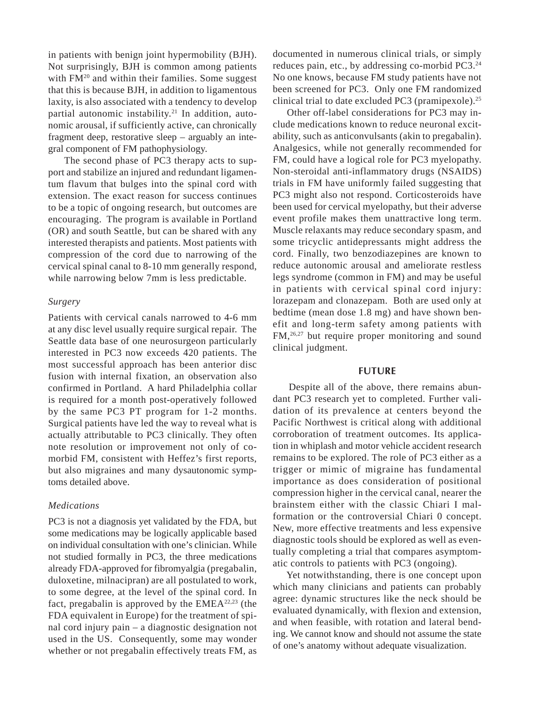in patients with benign joint hypermobility (BJH). Not surprisingly, BJH is common among patients with FM<sup>20</sup> and within their families. Some suggest that this is because BJH, in addition to ligamentous laxity, is also associated with a tendency to develop partial autonomic instability.<sup>21</sup> In addition, autonomic arousal, if sufficiently active, can chronically fragment deep, restorative sleep – arguably an integral component of FM pathophysiology.

The second phase of PC3 therapy acts to support and stabilize an injured and redundant ligamentum flavum that bulges into the spinal cord with extension. The exact reason for success continues to be a topic of ongoing research, but outcomes are encouraging. The program is available in Portland (OR) and south Seattle, but can be shared with any interested therapists and patients. Most patients with compression of the cord due to narrowing of the cervical spinal canal to 8-10 mm generally respond, while narrowing below 7mm is less predictable.

#### *Surgery*

Patients with cervical canals narrowed to 4-6 mm at any disc level usually require surgical repair. The Seattle data base of one neurosurgeon particularly interested in PC3 now exceeds 420 patients. The most successful approach has been anterior disc fusion with internal fixation, an observation also confirmed in Portland. A hard Philadelphia collar is required for a month post-operatively followed by the same PC3 PT program for 1-2 months. Surgical patients have led the way to reveal what is actually attributable to PC3 clinically. They often note resolution or improvement not only of comorbid FM, consistent with Heffez's first reports, but also migraines and many dysautonomic symptoms detailed above.

#### *Medications*

PC3 is not a diagnosis yet validated by the FDA, but some medications may be logically applicable based on individual consultation with one's clinician. While not studied formally in PC3, the three medications already FDA-approved for fibromyalgia (pregabalin, duloxetine, milnacipran) are all postulated to work, to some degree, at the level of the spinal cord. In fact, pregabalin is approved by the EMEA22,23 (the FDA equivalent in Europe) for the treatment of spinal cord injury pain – a diagnostic designation not used in the US. Consequently, some may wonder whether or not pregabalin effectively treats FM, as

documented in numerous clinical trials, or simply reduces pain, etc., by addressing co-morbid PC3.24 No one knows, because FM study patients have not been screened for PC3. Only one FM randomized clinical trial to date excluded PC3 (pramipexole).<sup>25</sup>

 Other off-label considerations for PC3 may include medications known to reduce neuronal excitability, such as anticonvulsants (akin to pregabalin). Analgesics, while not generally recommended for FM, could have a logical role for PC3 myelopathy. Non-steroidal anti-inflammatory drugs (NSAIDS) trials in FM have uniformly failed suggesting that PC3 might also not respond. Corticosteroids have been used for cervical myelopathy, but their adverse event profile makes them unattractive long term. Muscle relaxants may reduce secondary spasm, and some tricyclic antidepressants might address the cord. Finally, two benzodiazepines are known to reduce autonomic arousal and ameliorate restless legs syndrome (common in FM) and may be useful in patients with cervical spinal cord injury: lorazepam and clonazepam. Both are used only at bedtime (mean dose 1.8 mg) and have shown benefit and long-term safety among patients with FM,26,27 but require proper monitoring and sound clinical judgment.

#### **FUTURE**

Despite all of the above, there remains abundant PC3 research yet to completed. Further validation of its prevalence at centers beyond the Pacific Northwest is critical along with additional corroboration of treatment outcomes. Its application in whiplash and motor vehicle accident research remains to be explored. The role of PC3 either as a trigger or mimic of migraine has fundamental importance as does consideration of positional compression higher in the cervical canal, nearer the brainstem either with the classic Chiari I malformation or the controversial Chiari 0 concept. New, more effective treatments and less expensive diagnostic tools should be explored as well as eventually completing a trial that compares asymptomatic controls to patients with PC3 (ongoing).

 Yet notwithstanding, there is one concept upon which many clinicians and patients can probably agree: dynamic structures like the neck should be evaluated dynamically, with flexion and extension, and when feasible, with rotation and lateral bending. We cannot know and should not assume the state of one's anatomy without adequate visualization.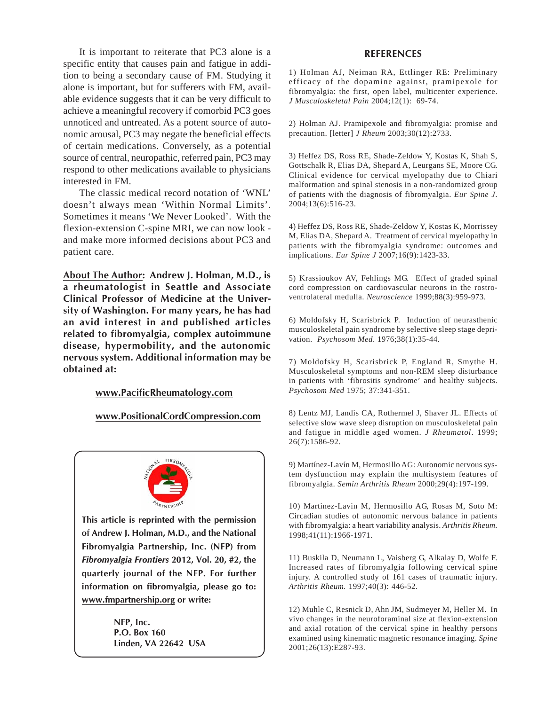It is important to reiterate that PC3 alone is a specific entity that causes pain and fatigue in addition to being a secondary cause of FM. Studying it alone is important, but for sufferers with FM, available evidence suggests that it can be very difficult to achieve a meaningful recovery if comorbid PC3 goes unnoticed and untreated. As a potent source of autonomic arousal, PC3 may negate the beneficial effects of certain medications. Conversely, as a potential source of central, neuropathic, referred pain, PC3 may respond to other medications available to physicians interested in FM.

The classic medical record notation of 'WNL' doesn't always mean 'Within Normal Limits'. Sometimes it means 'We Never Looked'. With the flexion-extension C-spine MRI, we can now look and make more informed decisions about PC3 and patient care.

**About The Author: Andrew J. Holman, M.D., is a rheumatologist in Seattle and Associate Clinical Professor of Medicine at the University of Washington. For many years, he has had an avid interest in and published articles related to fibromyalgia, complex autoimmune disease, hypermobility, and the autonomic nervous system. Additional information may be obtained at:**

#### **www.PacificRheumatology.com**

**www.PositionalCordCompression.com**



**This article is reprinted with the permission of Andrew J. Holman, M.D., and the National Fibromyalgia Partnership, Inc. (NFP) from** *Fibromyalgia Frontiers* **2012, Vol. 20, #2, the quarterly journal of the NFP. For further information on fibromyalgia, please go to: www.fmpartnership.org or write:**

> **NFP, Inc. P.O. Box 160 Linden, VA 22642 USA**

#### **REFERENCES**

1) Holman AJ, Neiman RA, Ettlinger RE: Preliminary efficacy of the dopamine against, pramipexole for fibromyalgia: the first, open label, multicenter experience. *J Musculoskeletal Pain* 2004;12(1): 69-74.

2) Holman AJ. Pramipexole and fibromyalgia: promise and precaution. [letter] *J Rheum* 2003;30(12):2733.

3) Heffez DS, Ross RE, Shade-Zeldow Y, Kostas K, Shah S, Gottschalk R, Elias DA, Shepard A, Leurgans SE, Moore CG. Clinical evidence for cervical myelopathy due to Chiari malformation and spinal stenosis in a non-randomized group of patients with the diagnosis of fibromyalgia. *Eur Spine J*. 2004;13(6):516-23.

4) Heffez DS, Ross RE, Shade-Zeldow Y, Kostas K, Morrissey M, Elias DA, Shepard A. Treatment of cervical myelopathy in patients with the fibromyalgia syndrome: outcomes and implications. *Eur Spine J* 2007;16(9):1423-33.

5) Krassioukov AV, Fehlings MG. Effect of graded spinal cord compression on cardiovascular neurons in the rostroventrolateral medulla. *Neuroscience* 1999;88(3):959-973.

6) Moldofsky H, Scarisbrick P. Induction of neurasthenic musculoskeletal pain syndrome by selective sleep stage deprivation. *Psychosom Med*. 1976;38(1):35-44.

7) Moldofsky H, Scarisbrick P, England R, Smythe H. Musculoskeletal symptoms and non-REM sleep disturbance in patients with 'fibrositis syndrome' and healthy subjects. *Psychosom Med* 1975; 37:341-351.

8) Lentz MJ, Landis CA, Rothermel J, Shaver JL. Effects of selective slow wave sleep disruption on musculoskeletal pain and fatigue in middle aged women. *J Rheumatol*. 1999; 26(7):1586-92.

9) Martínez-Lavín M, Hermosillo AG: Autonomic nervous system dysfunction may explain the multisystem features of fibromyalgia. *Semin Arthritis Rheum* 2000;29(4):197-199.

10) Martinez-Lavin M, Hermosillo AG, Rosas M, Soto M: Circadian studies of autonomic nervous balance in patients with fibromyalgia: a heart variability analysis. *Arthritis Rheum.* 1998;41(11):1966-1971.

11) Buskila D, Neumann L, Vaisberg G, Alkalay D, Wolfe F. Increased rates of fibromyalgia following cervical spine injury. A controlled study of 161 cases of traumatic injury. *Arthritis Rheum.* 1997;40(3): 446-52.

12) Muhle C, Resnick D, Ahn JM, Sudmeyer M, Heller M. In vivo changes in the neuroforaminal size at flexion-extension and axial rotation of the cervical spine in healthy persons examined using kinematic magnetic resonance imaging. *Spine* 2001;26(13):E287-93.